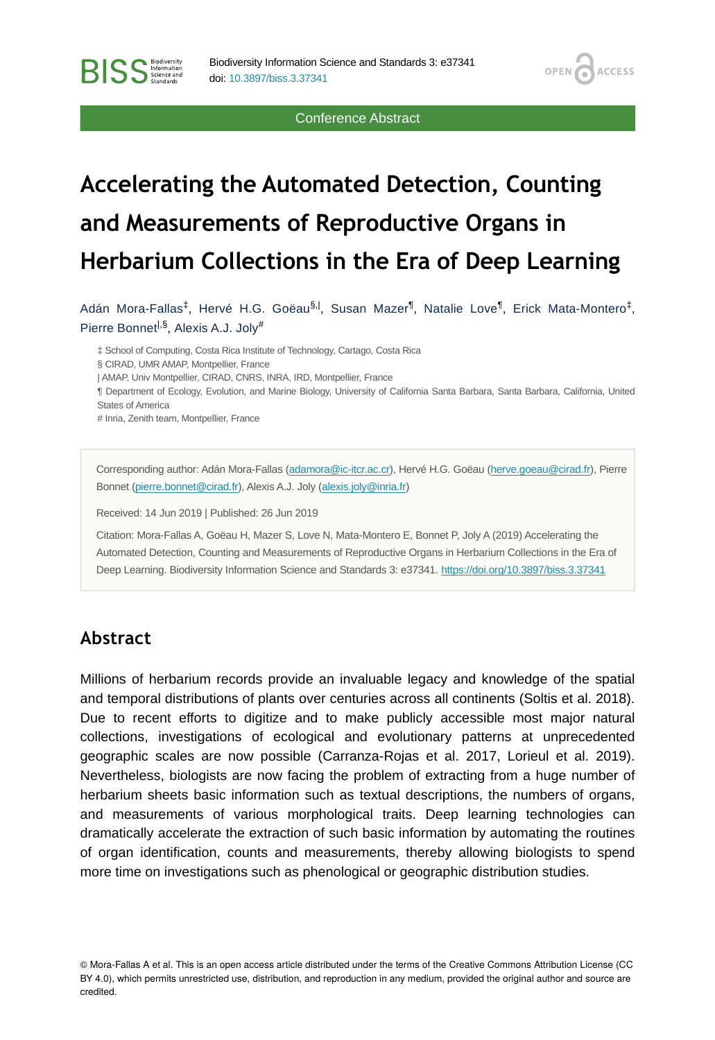Conference Abstract

**OPEN** 

**ACCESS** 

# **Accelerating the Automated Detection, Counting and Measurements of Reproductive Organs in Herbarium Collections in the Era of Deep Learning**

Adán Mora-Fallas<sup>‡</sup>, Hervé H.G. Goëau<sup>§.|</sup>, Susan Mazer<sup>¶</sup>, Natalie Love<sup>¶</sup>, Erick Mata-Montero<sup>‡</sup>, Pierre Bonnet<sup>|,§</sup>, Alexis A.J. Joly<sup>#</sup>

‡ School of Computing, Costa Rica Institute of Technology, Cartago, Costa Rica § CIRAD, UMR AMAP, Montpellier, France | AMAP, Univ Montpellier, CIRAD, CNRS, INRA, IRD, Montpellier, France ¶ Department of Ecology, Evolution, and Marine Biology, University of California Santa Barbara, Santa Barbara, California, United States of America # Inria, Zenith team, Montpellier, France

Corresponding author: Adán Mora-Fallas [\(adamora@ic-itcr.ac.cr\)](mailto:adamora@ic-itcr.ac.cr), Hervé H.G. Goëau ([herve.goeau@cirad.fr\)](mailto:herve.goeau@cirad.fr), Pierre Bonnet [\(pierre.bonnet@cirad.fr\)](mailto:pierre.bonnet@cirad.fr), Alexis A.J. Joly [\(alexis.joly@inria.fr](mailto:alexis.joly@inria.fr))

Received: 14 Jun 2019 | Published: 26 Jun 2019

Citation: Mora-Fallas A, Goëau H, Mazer S, Love N, Mata-Montero E, Bonnet P, Joly A (2019) Accelerating the Automated Detection, Counting and Measurements of Reproductive Organs in Herbarium Collections in the Era of Deep Learning. Biodiversity Information Science and Standards 3: e37341.<https://doi.org/10.3897/biss.3.37341>

### **Abstract**

**BISS** Steince and

Millions of herbarium records provide an invaluable legacy and knowledge of the spatial and temporal distributions of plants over centuries across all continents (Soltis et al. 2018). Due to recent efforts to digitize and to make publicly accessible most major natural collections, investigations of ecological and evolutionary patterns at unprecedented geographic scales are now possible (Carranza-Rojas et al. 2017, Lorieul et al. 2019). Nevertheless, biologists are now facing the problem of extracting from a huge number of herbarium sheets basic information such as textual descriptions, the numbers of organs, and measurements of various morphological traits. Deep learning technologies can dramatically accelerate the extraction of such basic information by automating the routines of organ identification, counts and measurements, thereby allowing biologists to spend more time on investigations such as phenological or geographic distribution studies.

© Mora-Fallas A et al. This is an open access article distributed under the terms of the Creative Commons Attribution License (CC BY 4.0), which permits unrestricted use, distribution, and reproduction in any medium, provided the original author and source are credited.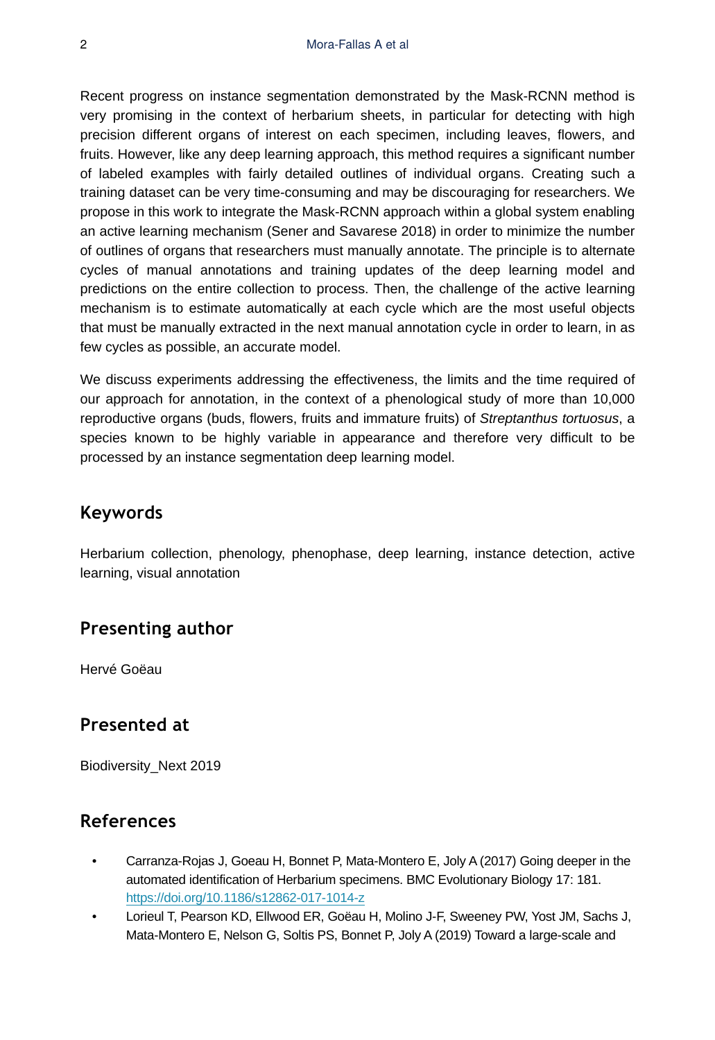Recent progress on instance segmentation demonstrated by the Mask-RCNN method is very promising in the context of herbarium sheets, in particular for detecting with high precision different organs of interest on each specimen, including leaves, flowers, and fruits. However, like any deep learning approach, this method requires a significant number of labeled examples with fairly detailed outlines of individual organs. Creating such a training dataset can be very time-consuming and may be discouraging for researchers. We propose in this work to integrate the Mask-RCNN approach within a global system enabling an active learning mechanism (Sener and Savarese 2018) in order to minimize the number of outlines of organs that researchers must manually annotate. The principle is to alternate cycles of manual annotations and training updates of the deep learning model and predictions on the entire collection to process. Then, the challenge of the active learning mechanism is to estimate automatically at each cycle which are the most useful objects that must be manually extracted in the next manual annotation cycle in order to learn, in as few cycles as possible, an accurate model.

We discuss experiments addressing the effectiveness, the limits and the time required of our approach for annotation, in the context of a phenological study of more than 10,000 reproductive organs (buds, flowers, fruits and immature fruits) of *Streptanthus tortuosus*, a species known to be highly variable in appearance and therefore very difficult to be processed by an instance segmentation deep learning model.

# **Keywords**

Herbarium collection, phenology, phenophase, deep learning, instance detection, active learning, visual annotation

### **Presenting author**

Hervé Goëau

### **Presented at**

Biodiversity\_Next 2019

# **References**

- Carranza-Rojas J, Goeau H, Bonnet P, Mata-Montero E, Joly A (2017) Going deeper in the automated identification of Herbarium specimens. BMC Evolutionary Biology 17: 181. <https://doi.org/10.1186/s12862-017-1014-z>
- Lorieul T, Pearson KD, Ellwood ER, Goëau H, Molino J‐F, Sweeney PW, Yost JM, Sachs J, Mata‐Montero E, Nelson G, Soltis PS, Bonnet P, Joly A (2019) Toward a large‐scale and